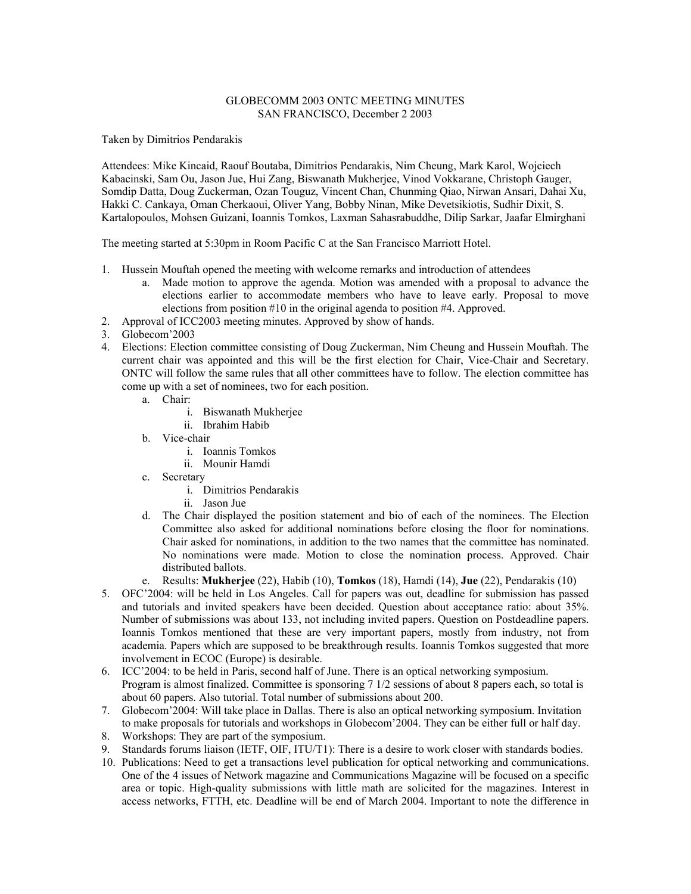## GLOBECOMM 2003 ONTC MEETING MINUTES SAN FRANCISCO, December 2 2003

Taken by Dimitrios Pendarakis

Attendees: Mike Kincaid, Raouf Boutaba, Dimitrios Pendarakis, Nim Cheung, Mark Karol, Wojciech Kabacinski, Sam Ou, Jason Jue, Hui Zang, Biswanath Mukherjee, Vinod Vokkarane, Christoph Gauger, Somdip Datta, Doug Zuckerman, Ozan Touguz, Vincent Chan, Chunming Qiao, Nirwan Ansari, Dahai Xu, Hakki C. Cankaya, Oman Cherkaoui, Oliver Yang, Bobby Ninan, Mike Devetsikiotis, Sudhir Dixit, S. Kartalopoulos, Mohsen Guizani, Ioannis Tomkos, Laxman Sahasrabuddhe, Dilip Sarkar, Jaafar Elmirghani

The meeting started at 5:30pm in Room Pacific C at the San Francisco Marriott Hotel.

- 1. Hussein Mouftah opened the meeting with welcome remarks and introduction of attendees
	- a. Made motion to approve the agenda. Motion was amended with a proposal to advance the elections earlier to accommodate members who have to leave early. Proposal to move elections from position #10 in the original agenda to position #4. Approved.
- 2. Approval of ICC2003 meeting minutes. Approved by show of hands.
- 3. Globecom<sup>2</sup>2003
- 4. Elections: Election committee consisting of Doug Zuckerman, Nim Cheung and Hussein Mouftah. The current chair was appointed and this will be the first election for Chair, Vice-Chair and Secretary. ONTC will follow the same rules that all other committees have to follow. The election committee has come up with a set of nominees, two for each position.
	- a. Chair:
		- i. Biswanath Mukherjee
		- ii. Ibrahim Habib
	- b. Vice-chair
		- i. Ioannis Tomkos
		- ii. Mounir Hamdi
	- c. Secretary
		- i. Dimitrios Pendarakis
		- ii. Jason Jue
	- d. The Chair displayed the position statement and bio of each of the nominees. The Election Committee also asked for additional nominations before closing the floor for nominations. Chair asked for nominations, in addition to the two names that the committee has nominated. No nominations were made. Motion to close the nomination process. Approved. Chair distributed ballots.
	- e. Results: **Mukherjee** (22), Habib (10), **Tomkos** (18), Hamdi (14), **Jue** (22), Pendarakis (10)
- 5. OFCí2004: will be held in Los Angeles. Call for papers was out, deadline for submission has passed and tutorials and invited speakers have been decided. Question about acceptance ratio: about 35%. Number of submissions was about 133, not including invited papers. Question on Postdeadline papers. Ioannis Tomkos mentioned that these are very important papers, mostly from industry, not from academia. Papers which are supposed to be breakthrough results. Ioannis Tomkos suggested that more involvement in ECOC (Europe) is desirable.
- 6. ICC'2004: to be held in Paris, second half of June. There is an optical networking symposium. Program is almost finalized. Committee is sponsoring 7 1/2 sessions of about 8 papers each, so total is about 60 papers. Also tutorial. Total number of submissions about 200.
- 7. Globecomí2004: Will take place in Dallas. There is also an optical networking symposium. Invitation to make proposals for tutorials and workshops in Globecom'2004. They can be either full or half day.
- 8. Workshops: They are part of the symposium.
- 9. Standards forums liaison (IETF, OIF, ITU/T1): There is a desire to work closer with standards bodies.
- 10. Publications: Need to get a transactions level publication for optical networking and communications. One of the 4 issues of Network magazine and Communications Magazine will be focused on a specific area or topic. High-quality submissions with little math are solicited for the magazines. Interest in access networks, FTTH, etc. Deadline will be end of March 2004. Important to note the difference in